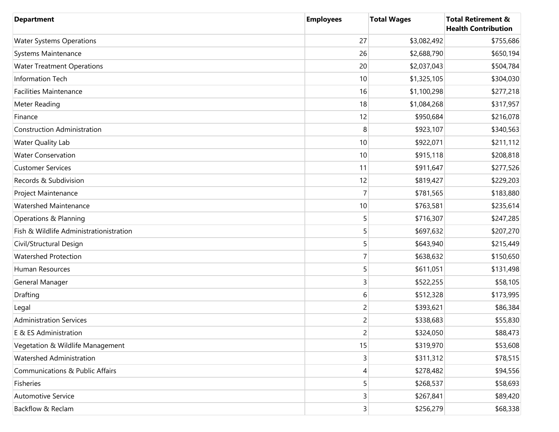| <b>Department</b>                          | <b>Employees</b>        | <b>Total Wages</b> | <b>Total Retirement &amp;</b><br><b>Health Contribution</b> |
|--------------------------------------------|-------------------------|--------------------|-------------------------------------------------------------|
| <b>Water Systems Operations</b>            | 27                      | \$3,082,492        | \$755,686                                                   |
| Systems Maintenance                        | 26                      | \$2,688,790        | \$650,194                                                   |
| <b>Water Treatment Operations</b>          | 20                      | \$2,037,043        | \$504,784                                                   |
| Information Tech                           | 10                      | \$1,325,105        | \$304,030                                                   |
| <b>Facilities Maintenance</b>              | 16                      | \$1,100,298        | \$277,218                                                   |
| Meter Reading                              | 18                      | \$1,084,268        | \$317,957                                                   |
| Finance                                    | 12                      | \$950,684          | \$216,078                                                   |
| <b>Construction Administration</b>         | 8                       | \$923,107          | \$340,563                                                   |
| <b>Water Quality Lab</b>                   | 10                      | \$922,071          | \$211,112                                                   |
| <b>Water Conservation</b>                  | 10                      | \$915,118          | \$208,818                                                   |
| <b>Customer Services</b>                   | 11                      | \$911,647          | \$277,526                                                   |
| Records & Subdivision                      | 12                      | \$819,427          | \$229,203                                                   |
| Project Maintenance                        | 7                       | \$781,565          | \$183,880                                                   |
| <b>Watershed Maintenance</b>               | 10                      | \$763,581          | \$235,614                                                   |
| Operations & Planning                      | 5                       | \$716,307          | \$247,285                                                   |
| Fish & Wildlife Administrationistration    | 5                       | \$697,632          | \$207,270                                                   |
| Civil/Structural Design                    | 5                       | \$643,940          | \$215,449                                                   |
| <b>Watershed Protection</b>                | 7                       | \$638,632          | \$150,650                                                   |
| Human Resources                            | 5                       | \$611,051          | \$131,498                                                   |
| General Manager                            | 3                       | \$522,255          | \$58,105                                                    |
| Drafting                                   | 6                       | \$512,328          | \$173,995                                                   |
| Legal                                      | 2                       | \$393,621          | \$86,384                                                    |
| <b>Administration Services</b>             | 2                       | \$338,683          | \$55,830                                                    |
| E & ES Administration                      | $\overline{2}$          | \$324,050          | \$88,473                                                    |
| Vegetation & Wildlife Management           | 15                      | \$319,970          | \$53,608                                                    |
| Watershed Administration                   | 3                       | \$311,312          | \$78,515                                                    |
| <b>Communications &amp; Public Affairs</b> | 4                       | \$278,482          | \$94,556                                                    |
| Fisheries                                  | 5                       | \$268,537          | \$58,693                                                    |
| <b>Automotive Service</b>                  | $\overline{\mathbf{3}}$ | \$267,841          | \$89,420                                                    |
| Backflow & Reclam                          | $\overline{\mathbf{3}}$ | \$256,279          | \$68,338                                                    |